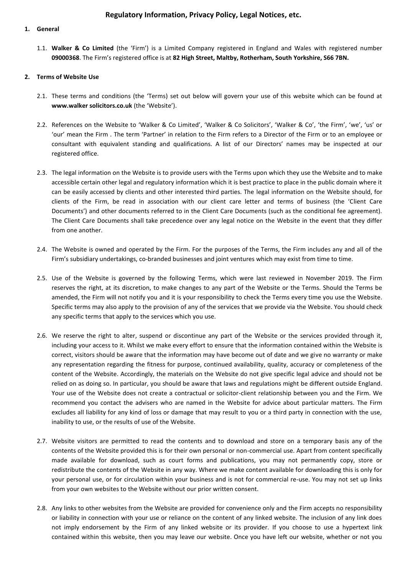## **1. General**

1.1. **Walker & Co Limited** (the 'Firm') is a Limited Company registered in England and Wales with registered number **09000368**. The Firm's registered office is at **82 High Street, Maltby, Rotherham, South Yorkshire, S66 7BN.**

## **2. Terms of Website Use**

- 2.1. These terms and conditions (the 'Terms) set out below will govern your use of this website which can be found at **www.walker solicitors.co.uk** (the 'Website').
- 2.2. References on the Website to 'Walker & Co Limited', 'Walker & Co Solicitors', 'Walker & Co', 'the Firm', 'we', 'us' or 'our' mean the Firm . The term 'Partner' in relation to the Firm refers to a Director of the Firm or to an employee or consultant with equivalent standing and qualifications. A list of our Directors' names may be inspected at our registered office.
- 2.3. The legal information on the Website is to provide users with the Terms upon which they use the Website and to make accessible certain other legal and regulatory information which it is best practice to place in the public domain where it can be easily accessed by clients and other interested third parties. The legal information on the Website should, for clients of the Firm, be read in association with our client care letter and terms of business (the 'Client Care Documents') and other documents referred to in the Client Care Documents (such as the conditional fee agreement). The Client Care Documents shall take precedence over any legal notice on the Website in the event that they differ from one another.
- 2.4. The Website is owned and operated by the Firm. For the purposes of the Terms, the Firm includes any and all of the Firm's subsidiary undertakings, co-branded businesses and joint ventures which may exist from time to time.
- 2.5. Use of the Website is governed by the following Terms, which were last reviewed in November 2019. The Firm reserves the right, at its discretion, to make changes to any part of the Website or the Terms. Should the Terms be amended, the Firm will not notify you and it is your responsibility to check the Terms every time you use the Website. Specific terms may also apply to the provision of any of the services that we provide via the Website. You should check any specific terms that apply to the services which you use.
- 2.6. We reserve the right to alter, suspend or discontinue any part of the Website or the services provided through it, including your access to it. Whilst we make every effort to ensure that the information contained within the Website is correct, visitors should be aware that the information may have become out of date and we give no warranty or make any representation regarding the fitness for purpose, continued availability, quality, accuracy or completeness of the content of the Website. Accordingly, the materials on the Website do not give specific legal advice and should not be relied on as doing so. In particular, you should be aware that laws and regulations might be different outside England. Your use of the Website does not create a contractual or solicitor-client relationship between you and the Firm. We recommend you contact the advisers who are named in the Website for advice about particular matters. The Firm excludes all liability for any kind of loss or damage that may result to you or a third party in connection with the use, inability to use, or the results of use of the Website.
- 2.7. Website visitors are permitted to read the contents and to download and store on a temporary basis any of the contents of the Website provided this is for their own personal or non-commercial use. Apart from content specifically made available for download, such as court forms and publications, you may not permanently copy, store or redistribute the contents of the Website in any way. Where we make content available for downloading this is only for your personal use, or for circulation within your business and is not for commercial re-use. You may not set up links from your own websites to the Website without our prior written consent.
- 2.8. Any links to other websites from the Website are provided for convenience only and the Firm accepts no responsibility or liability in connection with your use or reliance on the content of any linked website. The inclusion of any link does not imply endorsement by the Firm of any linked website or its provider. If you choose to use a hypertext link contained within this website, then you may leave our website. Once you have left our website, whether or not you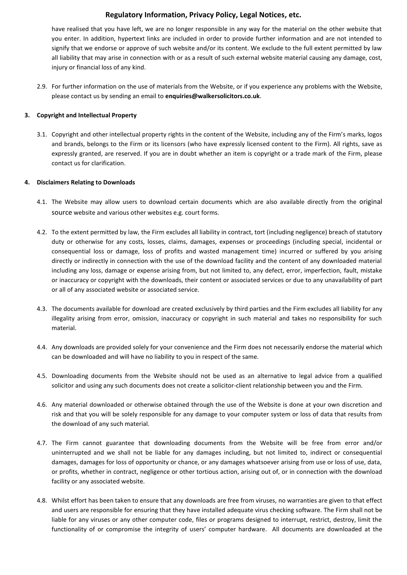have realised that you have left, we are no longer responsible in any way for the material on the other website that you enter. In addition, hypertext links are included in order to provide further information and are not intended to signify that we endorse or approve of such website and/or its content. We exclude to the full extent permitted by law all liability that may arise in connection with or as a result of such external website material causing any damage, cost, injury or financial loss of any kind.

2.9. For further information on the use of materials from the Website, or if you experience any problems with the Website, please contact us by sending an email to **enquiries@walkersolicitors.co.uk**.

## **3. Copyright and Intellectual Property**

3.1. Copyright and other intellectual property rights in the content of the Website, including any of the Firm's marks, logos and brands, belongs to the Firm or its licensors (who have expressly licensed content to the Firm). All rights, save as expressly granted, are reserved. If you are in doubt whether an item is copyright or a trade mark of the Firm, please contact us for clarification.

## **4. Disclaimers Relating to Downloads**

- 4.1. The Website may allow users to download certain documents which are also available directly from the original source website and various other websites e.g. court forms.
- 4.2. To the extent permitted by law, the Firm excludes all liability in contract, tort (including negligence) breach of statutory duty or otherwise for any costs, losses, claims, damages, expenses or proceedings (including special, incidental or consequential loss or damage, loss of profits and wasted management time) incurred or suffered by you arising directly or indirectly in connection with the use of the download facility and the content of any downloaded material including any loss, damage or expense arising from, but not limited to, any defect, error, imperfection, fault, mistake or inaccuracy or copyright with the downloads, their content or associated services or due to any unavailability of part or all of any associated website or associated service.
- 4.3. The documents available for download are created exclusively by third parties and the Firm excludes all liability for any illegality arising from error, omission, inaccuracy or copyright in such material and takes no responsibility for such material.
- 4.4. Any downloads are provided solely for your convenience and the Firm does not necessarily endorse the material which can be downloaded and will have no liability to you in respect of the same.
- 4.5. Downloading documents from the Website should not be used as an alternative to legal advice from a qualified solicitor and using any such documents does not create a solicitor-client relationship between you and the Firm.
- 4.6. Any material downloaded or otherwise obtained through the use of the Website is done at your own discretion and risk and that you will be solely responsible for any damage to your computer system or loss of data that results from the download of any such material.
- 4.7. The Firm cannot guarantee that downloading documents from the Website will be free from error and/or uninterrupted and we shall not be liable for any damages including, but not limited to, indirect or consequential damages, damages for loss of opportunity or chance, or any damages whatsoever arising from use or loss of use, data, or profits, whether in contract, negligence or other tortious action, arising out of, or in connection with the download facility or any associated website.
- 4.8. Whilst effort has been taken to ensure that any downloads are free from viruses, no warranties are given to that effect and users are responsible for ensuring that they have installed adequate virus checking software. The Firm shall not be liable for any viruses or any other computer code, files or programs designed to interrupt, restrict, destroy, limit the functionality of or compromise the integrity of users' computer hardware. All documents are downloaded at the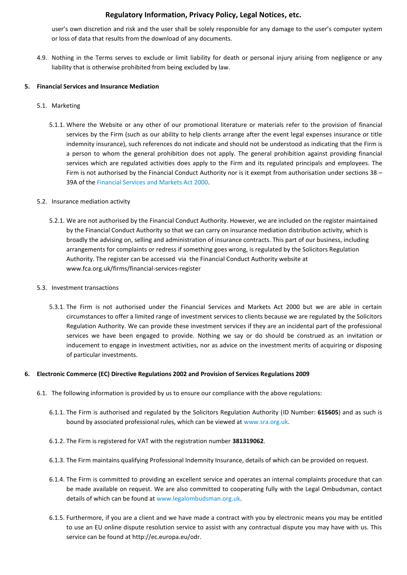user's own discretion and risk and the user shall be solely responsible for any damage to the user's computer system or loss of data that results from the download of any documents.

4.9. Nothing in the Terms serves to exclude or limit liability for death or personal injury arising from negligence or any liability that is otherwise prohibited from being excluded by law.

### **5. Financial Services and Insurance Mediation**

- 5.1. Marketing
	- 5.1.1. Where the Website or any other of our promotional literature or materials refer to the provision of financial services by the Firm (such as our ability to help clients arrange after the event legal expenses insurance or title indemnity insurance), such references do not indicate and should not be understood as indicating that the Firm is a person to whom the general prohibition does not apply. The general prohibition against providing financial services which are regulated activities does apply to the Firm and its regulated principals and employees. The Firm is not authorised by the Financial Conduct Authority nor is it exempt from authorisation under sections 38 – 39A of the [Financial Services and Markets Act 2000.](http://www.legislation.gov.uk/ukpga/2000/8/contents)

## 5.2. Insurance mediation activity

5.2.1. We are not authorised by the Financial Conduct Authority. However, we are included on the register maintained by the Financial Conduct Authority so that we can carry on insurance mediation distribution activity, which is broadly the advising on, selling and administration of insurance contracts. This part of our business, including arrangements for complaints or redress if something goes wrong, is regulated by the Solicitors Regulation Authority. The register can be accessed via the Financial Conduct Authority website at www.fca.org.uk/firms/financial-services-register

## 5.3. Investment transactions

5.3.1. The Firm is not authorised under the Financial Services and Markets Act 2000 but we are able in certain circumstances to offer a limited range of investment services to clients because we are regulated by the Solicitors Regulation Authority. We can provide these investment services if they are an incidental part of the professional services we have been engaged to provide. Nothing we say or do should be construed as an invitation or inducement to engage in investment activities, nor as advice on the investment merits of acquiring or disposing of particular investments.

## **6. Electronic Commerce (EC) Directive Regulations 2002 and Provision of Services Regulations 2009**

- 6.1. The following information is provided by us to ensure our compliance with the above regulations:
	- 6.1.1. The Firm is authorised and regulated by the Solicitors Regulation Authority (ID Number: **615605**) and as such is bound by associated professional rules, which can be viewed at [www.sra.org.uk.](http://www.sra.org.uk/)
	- 6.1.2. The Firm is registered for VAT with the registration number **381319062**.
	- 6.1.3. The Firm maintains qualifying Professional Indemnity Insurance, details of which can be provided on request.
	- 6.1.4. The Firm is committed to providing an excellent service and operates an internal complaints procedure that can be made available on request. We are also committed to cooperating fully with the Legal Ombudsman, contact details of which can be found at [www.legalombudsman.org.uk.](http://www.legalombudsman.org.uk/)
	- 6.1.5. Furthermore, if you are a client and we have made a contract with you by electronic means you may be entitled to use an EU online dispute resolution service to assist with any contractual dispute you may have with us. This service can be found at http://ec.europa.eu/odr.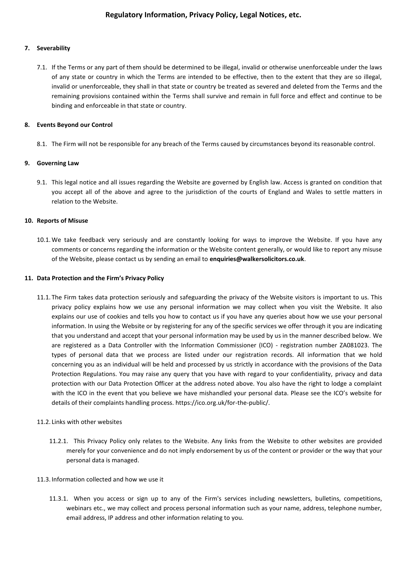## **7. Severability**

7.1. If the Terms or any part of them should be determined to be illegal, invalid or otherwise unenforceable under the laws of any state or country in which the Terms are intended to be effective, then to the extent that they are so illegal, invalid or unenforceable, they shall in that state or country be treated as severed and deleted from the Terms and the remaining provisions contained within the Terms shall survive and remain in full force and effect and continue to be binding and enforceable in that state or country.

### **8. Events Beyond our Control**

8.1. The Firm will not be responsible for any breach of the Terms caused by circumstances beyond its reasonable control.

#### **9. Governing Law**

9.1. This legal notice and all issues regarding the Website are governed by English law. Access is granted on condition that you accept all of the above and agree to the jurisdiction of the courts of England and Wales to settle matters in relation to the Website.

#### **10. Reports of Misuse**

10.1.We take feedback very seriously and are constantly looking for ways to improve the Website. If you have any comments or concerns regarding the information or the Website content generally, or would like to report any misuse of the Website, please contact us by sending an email to **enquiries@walkersolicitors.co.uk**.

#### **11. Data Protection and the Firm's Privacy Policy**

11.1. The Firm takes data protection seriously and safeguarding the privacy of the Website visitors is important to us. This privacy policy explains how we use any personal information we may collect when you visit the Website. It also explains our use of cookies and tells you how to contact us if you have any queries about how we use your personal information. In using the Website or by registering for any of the specific services we offer through it you are indicating that you understand and accept that your personal information may be used by us in the manner described below. We are registered as a Data Controller with the Information Commissioner (ICO) - registration number ZA081023. The types of personal data that we process are listed under our registration records. All information that we hold concerning you as an individual will be held and processed by us strictly in accordance with the provisions of the Data Protection Regulations. You may raise any query that you have with regard to your confidentiality, privacy and data protection with our Data Protection Officer at the address noted above. You also have the right to lodge a complaint with the ICO in the event that you believe we have mishandled your personal data. Please see the ICO's website for details of their complaints handling process. https://ico.org.uk/for-the-public/.

#### 11.2. Links with other websites

11.2.1. This Privacy Policy only relates to the Website. Any links from the Website to other websites are provided merely for your convenience and do not imply endorsement by us of the content or provider or the way that your personal data is managed.

#### 11.3. Information collected and how we use it

11.3.1. When you access or sign up to any of the Firm's services including newsletters, bulletins, competitions, webinars etc., we may collect and process personal information such as your name, address, telephone number, email address, IP address and other information relating to you.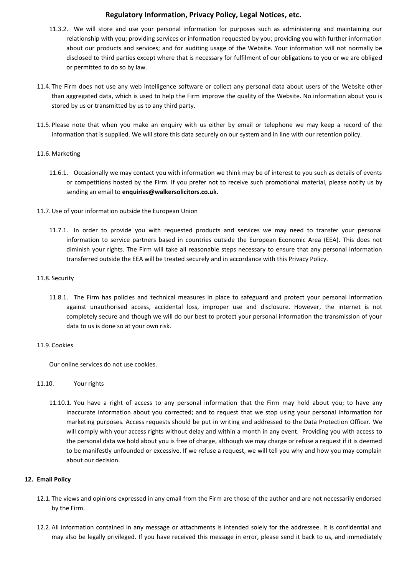- 11.3.2. We will store and use your personal information for purposes such as administering and maintaining our relationship with you; providing services or information requested by you; providing you with further information about our products and services; and for auditing usage of the Website. Your information will not normally be disclosed to third parties except where that is necessary for fulfilment of our obligations to you or we are obliged or permitted to do so by law.
- 11.4. The Firm does not use any web intelligence software or collect any personal data about users of the Website other than aggregated data, which is used to help the Firm improve the quality of the Website. No information about you is stored by us or transmitted by us to any third party.
- 11.5. Please note that when you make an enquiry with us either by email or telephone we may keep a record of the information that is supplied. We will store this data securely on our system and in line with our retention policy.

## 11.6. Marketing

- 11.6.1. Occasionally we may contact you with information we think may be of interest to you such as details of events or competitions hosted by the Firm. If you prefer not to receive such promotional material, please notify us by sending an email to **enquiries@walkersolicitors.co.uk**.
- 11.7.Use of your information outside the European Union
	- 11.7.1. In order to provide you with requested products and services we may need to transfer your personal information to service partners based in countries outside the European Economic Area (EEA). This does not diminish your rights. The Firm will take all reasonable steps necessary to ensure that any personal information transferred outside the EEA will be treated securely and in accordance with this Privacy Policy.

## 11.8. Security

11.8.1. The Firm has policies and technical measures in place to safeguard and protect your personal information against unauthorised access, accidental loss, improper use and disclosure. However, the internet is not completely secure and though we will do our best to protect your personal information the transmission of your data to us is done so at your own risk.

## 11.9. Cookies

Our online services do not use cookies.

## 11.10. Your rights

11.10.1. You have a right of access to any personal information that the Firm may hold about you; to have any inaccurate information about you corrected; and to request that we stop using your personal information for marketing purposes. Access requests should be put in writing and addressed to the Data Protection Officer. We will comply with your access rights without delay and within a month in any event. Providing you with access to the personal data we hold about you is free of charge, although we may charge or refuse a request if it is deemed to be manifestly unfounded or excessive. If we refuse a request, we will tell you why and how you may complain about our decision.

## **12. Email Policy**

- 12.1. The views and opinions expressed in any email from the Firm are those of the author and are not necessarily endorsed by the Firm.
- 12.2. All information contained in any message or attachments is intended solely for the addressee. It is confidential and may also be legally privileged. If you have received this message in error, please send it back to us, and immediately